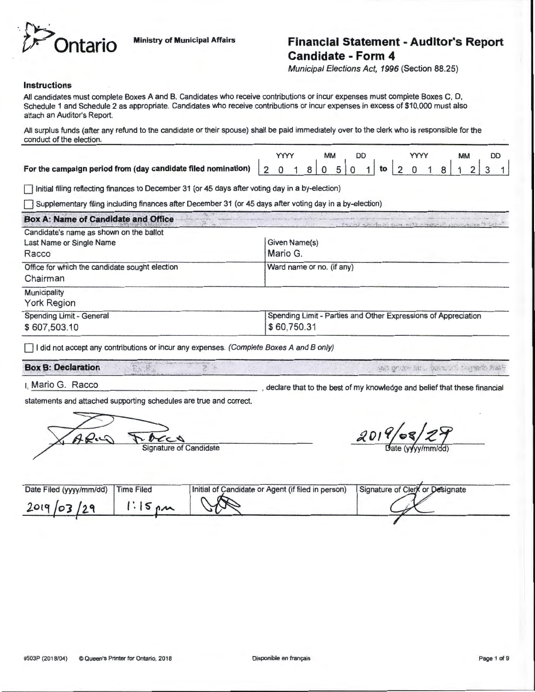

## **Contario** Ministry of Municipal Affairs **Financial Statement - Auditor's Report Candidate- Form 4**

Municipal Elections Act, 1996 (Section 88.25)

### **Instructions**

All candidates must complete Boxes A and B. Candidates who receive contributions or incur expenses must complete Boxes C, D, Schedule 1 and Schedule 2 as appropriate. Candidates who receive contributions or incur expenses in excess of \$10,000 must also attach an Auditor's Report.

All surplus funds (after any refund to the candidate or their spouse) shall be paid immediately over to the clerk who is responsible for the conduct of the election.

Initial filing reflecting finances to December 31 (or 45 days after voting day in a by-election)

Supplementary filing including finances after December 31 (or 45 days after voting day in a by-election)

| Candidate's name as shown on the ballot                    | and the most community of the community of the state of the community of the community of the community of the |
|------------------------------------------------------------|----------------------------------------------------------------------------------------------------------------|
| Last Name or Single Name<br>Racco                          | Given Name(s)<br>Mario G.                                                                                      |
| Office for which the candidate sought election<br>Chairman | Ward name or no. (if any)                                                                                      |
| Municipality<br><b>York Region</b>                         |                                                                                                                |
| Spending Limit - General                                   | Spending Limit - Parties and Other Expressions of Appreciation                                                 |
| \$607,503.10                                               | \$60,750.31                                                                                                    |

 $\Box$  I did not accept any contributions or incur any expenses. (Complete Boxes A and B only)

## **Box B: Declaration**

I, Mario G. Racco , and the best of my knowledge and belief that these financial

statements and attached supporting schedules are true and correct.

roces **Signature of Candidate** 

iJate *(Yfyylmmld)* 

ash grube it a bora an hayard was

| Date Filed (yyyy/mm/dd) | <b>Time Filed</b> | Initial of Candidate or Agent (if filed in person) | Signature of Clerk or Designate |  |
|-------------------------|-------------------|----------------------------------------------------|---------------------------------|--|
| 2019/03/29              |                   |                                                    |                                 |  |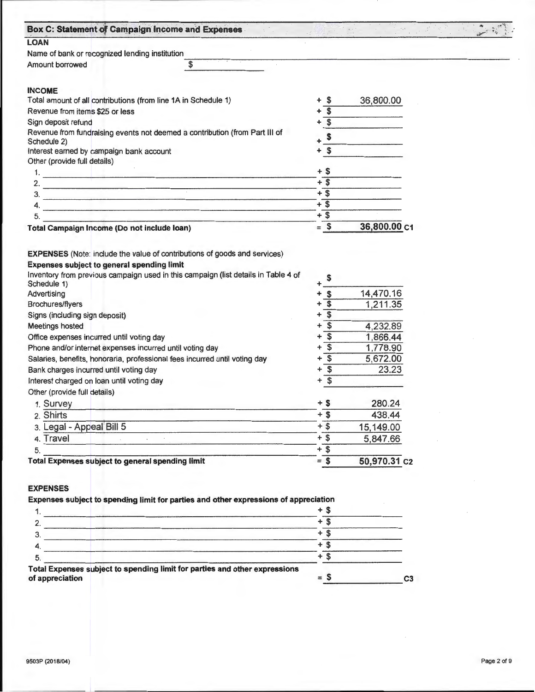| Box C: Statement of Campaign Income and Expenses                                                                                      |                            |              |  |
|---------------------------------------------------------------------------------------------------------------------------------------|----------------------------|--------------|--|
| <b>LOAN</b>                                                                                                                           |                            |              |  |
| Name of bank or recognized lending institution                                                                                        |                            |              |  |
| \$<br>Amount borrowed                                                                                                                 |                            |              |  |
| <b>INCOME</b>                                                                                                                         |                            |              |  |
| Total amount of all contributions (from line 1A in Schedule 1)                                                                        | - \$                       | 36,800.00    |  |
| Revenue from items \$25 or less                                                                                                       | $\overline{\mathbf{s}}$    |              |  |
| Sign deposit refund                                                                                                                   | $\overline{\mathbf{S}}$    |              |  |
| Revenue from fundraising events not deemed a contribution (from Part III of<br>Schedule 2)                                            | \$                         |              |  |
| Interest earned by campaign bank account                                                                                              | $+$ \$                     |              |  |
| Other (provide full details)                                                                                                          |                            |              |  |
| 1.<br><u> 1980 - Johann Stein, Amerikaansk politiker (</u>                                                                            | $+$ \$                     |              |  |
| 2.<br><u> 1989 - Johann Barbert, mars et al. (</u>                                                                                    | $+$ \$                     |              |  |
| 3.                                                                                                                                    | $+$ \$                     |              |  |
| 4.                                                                                                                                    | $+$ \$                     |              |  |
| 5.<br>the Contractor of the company's the company's company's company's company's company's company's                                 | $+$ \$                     |              |  |
| Total Campaign Income (Do not include loan)                                                                                           | $=$ \$                     | 36,800.00 C1 |  |
| <b>EXPENSES</b> (Note: include the value of contributions of goods and services)<br><b>Expenses subject to general spending limit</b> |                            |              |  |
| Inventory from previous campaign used in this campaign (list details in Table 4 of                                                    | \$                         |              |  |
|                                                                                                                                       | $\mathbf{s}$<br>+          | 14,470.16    |  |
| Brochures/flyers                                                                                                                      | \$                         | 1,211.35     |  |
| Signs (including sign deposit)                                                                                                        | \$<br>+                    |              |  |
| <b>Meetings hosted</b>                                                                                                                | \$<br>+                    | 4,232.89     |  |
| Office expenses incurred until voting day                                                                                             | \$                         | 1,866.44     |  |
| Phone and/or internet expenses incurred until voting day                                                                              | $\overline{\mathcal{S}}$   | 1,778.90     |  |
| Salaries, benefits, honoraria, professional fees incurred until voting day                                                            | \$<br>+                    | 5,672.00     |  |
| Bank charges incurred until voting day                                                                                                | $\mathbf{s}$               | 23.23        |  |
| Interest charged on loan until voting day                                                                                             | \$<br>÷                    |              |  |
| Other (provide full dietails)                                                                                                         |                            |              |  |
| 1. Survey                                                                                                                             | + \$                       | 280.24       |  |
| 2. Shirts                                                                                                                             | $+$ \$                     | 438.44       |  |
| 3. Legal - Appeal Bill 5                                                                                                              | $+$ \$                     | 15,149.00    |  |
| Schedule 1)<br>Advertising<br>4. Travel                                                                                               | $+$ \$                     | 5,847.66     |  |
| 5.                                                                                                                                    | $+\overline{\$}$<br>$=$ \$ | 50,970.31 c2 |  |

|                                                                                               | + |    |
|-----------------------------------------------------------------------------------------------|---|----|
|                                                                                               |   |    |
|                                                                                               |   |    |
|                                                                                               |   |    |
|                                                                                               |   |    |
| Total Expensessu bject to spending limit for parties and other expressions<br>of appreciation |   | C3 |
|                                                                                               |   |    |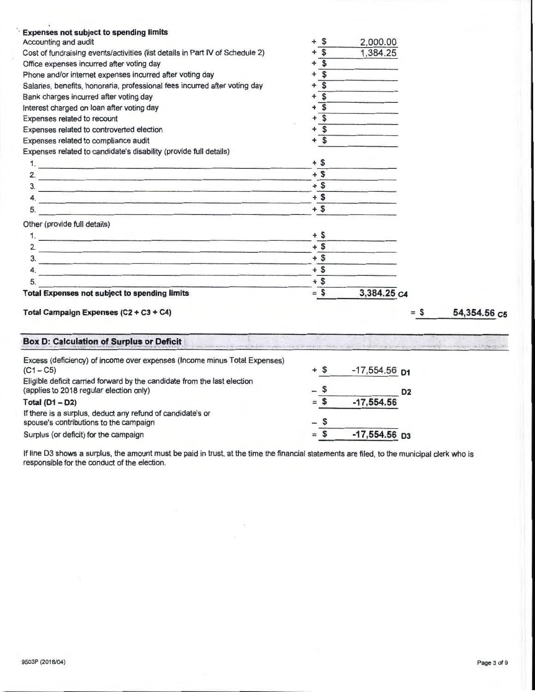| <b>Expenses not subject to spending limits</b>                                                                        |                              |             |        |              |
|-----------------------------------------------------------------------------------------------------------------------|------------------------------|-------------|--------|--------------|
| Accounting and audit                                                                                                  | -S<br>$\ddot{}$              | 2,000.00    |        |              |
| Cost of fundraising events/activities (list details in Part IV of Schedule 2)                                         | \$                           | 1,384.25    |        |              |
| Office expenses incurred after voting day                                                                             | \$                           |             |        |              |
| Phone and/or internet expenses incurred after voting day                                                              | \$<br>٠                      |             |        |              |
| Salaries, benefits, honoraria, professional fees incurred after voting day                                            | $\overline{\mathbf{s}}$<br>۰ |             |        |              |
| Bank charges incurred after voting day                                                                                | Ŝ.<br>$\ddot{}$              |             |        |              |
| Interest charged on loan after voting day                                                                             | \$<br>$\ddot{}$              |             |        |              |
| Expenses related to recount                                                                                           | $\overline{\mathbf{s}}$<br>+ |             |        |              |
| Expenses related to controverted election                                                                             | \$<br>+                      |             |        |              |
| Expenses related to compliance audit                                                                                  | $+$ \$                       |             |        |              |
| Expenses related to candidate's disability (provide full details)                                                     |                              |             |        |              |
|                                                                                                                       | $+$ \$                       |             |        |              |
| 2.                                                                                                                    | $+$ \$                       |             |        |              |
| 3.                                                                                                                    | $+$ \$                       |             |        |              |
| 4.                                                                                                                    | $+$ \$                       |             |        |              |
| 5.<br>the contract of the contract of the contract of the contract of the contract of the contract of the contract of | $+$ \$                       |             |        |              |
| Other (provide full details)                                                                                          |                              |             |        |              |
|                                                                                                                       | $+$ \$                       |             |        |              |
| 2. $\overline{\phantom{a}}$                                                                                           | $+$ \$                       |             |        |              |
| $\frac{3}{2}$                                                                                                         | $+$ \$                       |             |        |              |
| 4.                                                                                                                    | $+$ \$                       |             |        |              |
| 5.                                                                                                                    | $+$ \$                       |             |        |              |
| <b>Total Expenses not subject to spending limits</b>                                                                  | $=$ \$                       | 3,384.25 C4 |        |              |
| Total Campaign Expenses (C2 + C3 + C4)                                                                                |                              |             | $=$ \$ | 54,354.56 C5 |
| <b>Box D: Calculation of Surplus or Deficit</b>                                                                       |                              |             |        |              |

| are the distribution of the company of the company of the company of the company of the company of the company of the company of the first of the first of the company of the company of the company of the company of the com |       |                             |                |
|--------------------------------------------------------------------------------------------------------------------------------------------------------------------------------------------------------------------------------|-------|-----------------------------|----------------|
| Excess (deficiency) of income over expenses (Income minus Total Expenses)<br>$(C1 - C5)$                                                                                                                                       | + S   | $-17,554.56$ D <sub>1</sub> |                |
| Eligible deficit carried forward by the candidate from the last election<br>(applies to 2018 regular election only)                                                                                                            | – S   |                             | D <sub>2</sub> |
| Total $(D1 - D2)$                                                                                                                                                                                                              | $=$   | $-17,554.56$                |                |
| If there is a surplus, deduct any refund of candidate's or<br>spouse's contributions to the campaign                                                                                                                           | $-$ S |                             |                |
| Surplus (or deficit) for the campaign                                                                                                                                                                                          | $=$   | $-17,554.56$ D <sub>3</sub> |                |

If line 03 shows a surplus, the amount must be paid in trust, at the time the financial statements are filed, to the municipal clerk who is responsible for the conduct of the election.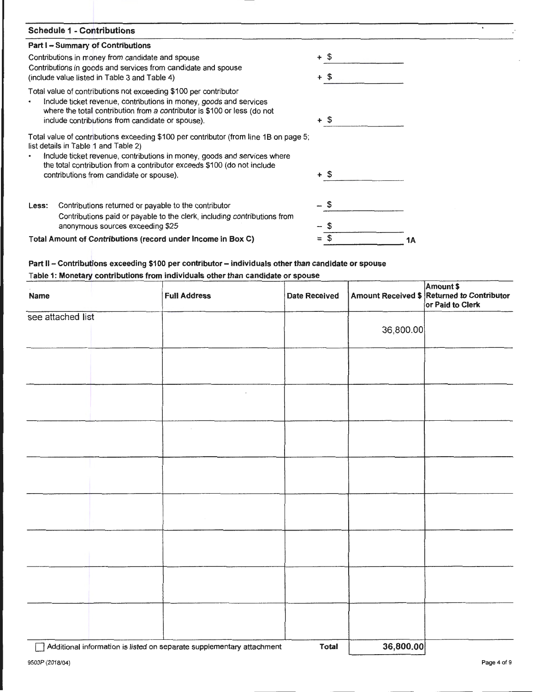| <b>Schedule 1 - Contributions</b>                                                                                                                   |        |    |
|-----------------------------------------------------------------------------------------------------------------------------------------------------|--------|----|
| Part I - Summary of Contributions                                                                                                                   |        |    |
| Contributions in money from candidate and spouse                                                                                                    | + \$   |    |
| Contributions in goods and services from candidate and spouse                                                                                       |        |    |
| (include value listed in Table 3 and Table 4)                                                                                                       | + \$   |    |
| Total value of contributions not exceeding \$100 per contributor                                                                                    |        |    |
| Include ticket revenue, contributions in money, goods and services                                                                                  |        |    |
| where the total contribution from a contributor is \$100 or less (do not                                                                            | + \$   |    |
| include contributions from candidate or spouse).                                                                                                    |        |    |
| Total value of contributions exceeding \$100 per contributor (from line 1B on page 5;                                                               |        |    |
| list details in Table 1 and Table 2)                                                                                                                |        |    |
| Include ticket revenue, contributions in money, goods and services where<br>the total contribution from a contributor exceeds \$100 (do not include |        |    |
| contributions from candidate or spouse).                                                                                                            | $+$ \$ |    |
|                                                                                                                                                     |        |    |
|                                                                                                                                                     |        |    |
| Contributions returned or payable to the contributor<br>Less:                                                                                       | \$     |    |
| Contributions paid or payable to the clerk, including contributions from                                                                            |        |    |
| anonymous sources exceeding \$25                                                                                                                    |        |    |
| Total Amount of Contributions (record under Income in Box C)                                                                                        |        | 1Α |
|                                                                                                                                                     |        |    |

## **Part 11- Contributions exceeding \$100 per contributor- individuals other than candidate or spouse Table 1: Monetary contributions from individuals other than candidate or spouse**

| Name                       | <b>Full Address</b>                         | <b>Date Received</b> |            | Amount \$<br>Amount Received \$ Returned to Contributor<br>or Paid to Clerk |
|----------------------------|---------------------------------------------|----------------------|------------|-----------------------------------------------------------------------------|
| see attached list          |                                             |                      | 36,800.00  |                                                                             |
|                            |                                             |                      |            |                                                                             |
|                            |                                             |                      |            |                                                                             |
|                            |                                             |                      |            |                                                                             |
|                            |                                             |                      |            |                                                                             |
|                            |                                             |                      |            |                                                                             |
|                            |                                             |                      |            |                                                                             |
|                            |                                             |                      |            |                                                                             |
|                            |                                             |                      |            |                                                                             |
| manuel and a communication | and the company of the contract of the con- | $-1$ . All $-1$      | oo ooo ool |                                                                             |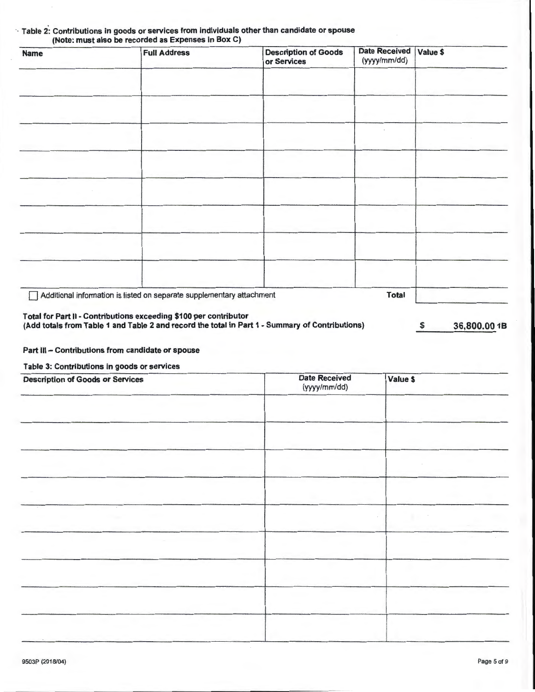| <b>Name</b> | <b>Full Address</b>                                                   | <b>Description of Goods</b><br>or Services | <b>Date Received</b><br>(yyyy/mm/dd) | Value \$ |
|-------------|-----------------------------------------------------------------------|--------------------------------------------|--------------------------------------|----------|
|             |                                                                       |                                            |                                      |          |
|             |                                                                       |                                            |                                      |          |
|             |                                                                       |                                            |                                      |          |
|             |                                                                       |                                            |                                      |          |
|             |                                                                       |                                            |                                      |          |
|             |                                                                       |                                            |                                      |          |
|             |                                                                       |                                            |                                      |          |
|             |                                                                       |                                            |                                      |          |
|             |                                                                       |                                            |                                      |          |
|             | Additional information is listed on separate supplementary attachment |                                            | <b>Total</b>                         |          |

# ·. Table 2': Contributions in goods or services from individuals other than candidate or spouse

Part III - Contributions from candidate or spouse

Table 3: Contributions in goods or services

| <b>Description of Goods or Services</b> | <b>Date Received</b><br>(yyyy/mm/dd) | Value \$ |
|-----------------------------------------|--------------------------------------|----------|
|                                         |                                      |          |
|                                         |                                      |          |
|                                         |                                      |          |
|                                         |                                      |          |
|                                         |                                      |          |
|                                         |                                      |          |
|                                         |                                      |          |
|                                         |                                      |          |
|                                         |                                      |          |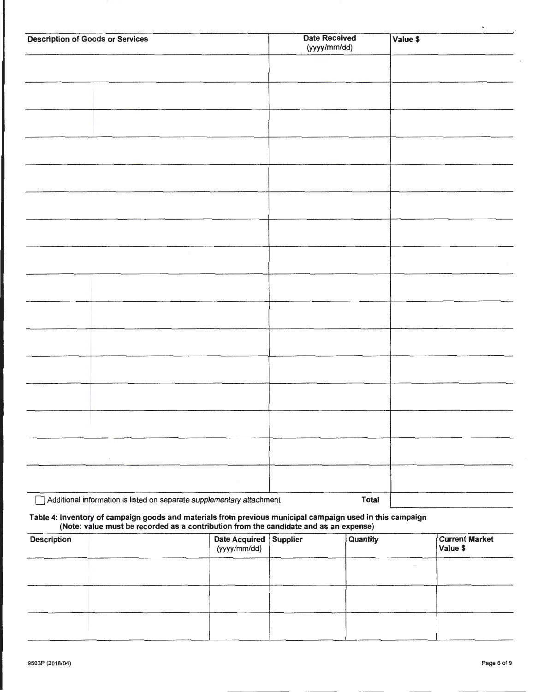| <b>Description of Goods or Services</b>                               | <b>Date Received</b><br>(yyyy/mm/dd) | Value \$ |
|-----------------------------------------------------------------------|--------------------------------------|----------|
|                                                                       |                                      |          |
|                                                                       |                                      |          |
|                                                                       |                                      |          |
|                                                                       |                                      |          |
|                                                                       |                                      |          |
|                                                                       |                                      |          |
|                                                                       |                                      |          |
|                                                                       |                                      |          |
|                                                                       |                                      |          |
|                                                                       |                                      |          |
|                                                                       |                                      |          |
|                                                                       |                                      |          |
|                                                                       |                                      |          |
|                                                                       |                                      |          |
|                                                                       |                                      |          |
|                                                                       |                                      |          |
|                                                                       |                                      |          |
|                                                                       |                                      |          |
|                                                                       |                                      |          |
| Additional information is listed on separate supplementary attachment | Total                                |          |

#### Table 4: Inventory of campaign goods and materials from previous municipal campaign used in this campaign (Note: value must be recorded as a contribution from the candidate and as an expense)

| <b>Description</b> | Date Acquired Supplier<br>(yyyy/mm/dd) | Quantity | <b>Current Market</b><br>Value \$ |
|--------------------|----------------------------------------|----------|-----------------------------------|
|                    |                                        |          |                                   |
|                    |                                        |          |                                   |
|                    |                                        |          |                                   |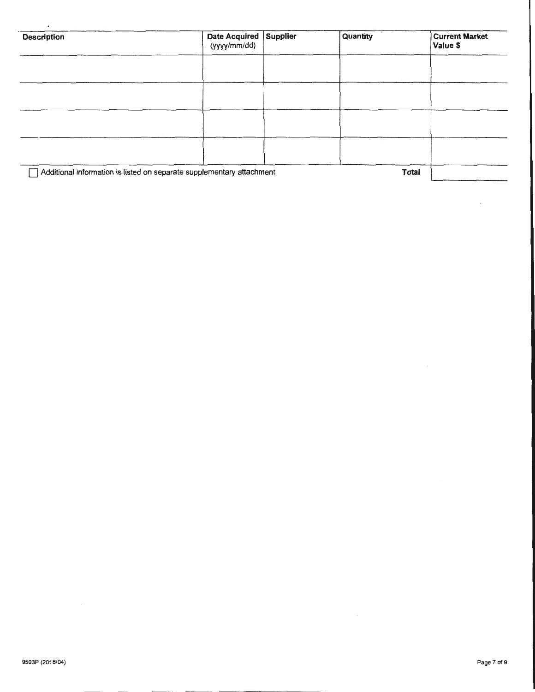| <b>Description</b> | Date Acquired Supplier<br>(yyyy/mm/dd)                                | Quantity | <b>Current Market</b><br>Value \$ |
|--------------------|-----------------------------------------------------------------------|----------|-----------------------------------|
|                    |                                                                       |          |                                   |
|                    |                                                                       |          |                                   |
|                    |                                                                       |          |                                   |
|                    |                                                                       |          |                                   |
|                    |                                                                       |          |                                   |
|                    | Additional information is listed on separate supplementary attachment |          | Total                             |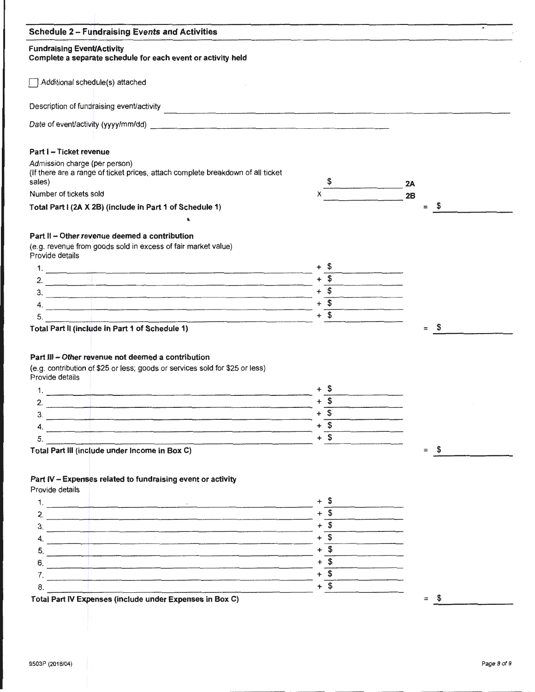|        | the control of the control of the control of the control of the control of the control of the control of the control of the control of the control of the control of the control of the control of the control of the control |
|--------|-------------------------------------------------------------------------------------------------------------------------------------------------------------------------------------------------------------------------------|
|        |                                                                                                                                                                                                                               |
|        |                                                                                                                                                                                                                               |
|        |                                                                                                                                                                                                                               |
|        |                                                                                                                                                                                                                               |
|        |                                                                                                                                                                                                                               |
|        |                                                                                                                                                                                                                               |
|        | 2A                                                                                                                                                                                                                            |
|        | 2B<br>\$<br>$\equiv$                                                                                                                                                                                                          |
|        |                                                                                                                                                                                                                               |
|        |                                                                                                                                                                                                                               |
|        |                                                                                                                                                                                                                               |
|        |                                                                                                                                                                                                                               |
|        |                                                                                                                                                                                                                               |
|        |                                                                                                                                                                                                                               |
|        |                                                                                                                                                                                                                               |
|        |                                                                                                                                                                                                                               |
|        |                                                                                                                                                                                                                               |
|        |                                                                                                                                                                                                                               |
|        | \$<br>$=$                                                                                                                                                                                                                     |
|        |                                                                                                                                                                                                                               |
|        |                                                                                                                                                                                                                               |
|        |                                                                                                                                                                                                                               |
|        |                                                                                                                                                                                                                               |
|        |                                                                                                                                                                                                                               |
|        |                                                                                                                                                                                                                               |
|        |                                                                                                                                                                                                                               |
| $+$ \$ |                                                                                                                                                                                                                               |
| $+$ \$ |                                                                                                                                                                                                                               |
|        | \$<br>$=$                                                                                                                                                                                                                     |
|        |                                                                                                                                                                                                                               |
|        |                                                                                                                                                                                                                               |
|        |                                                                                                                                                                                                                               |
| + S    |                                                                                                                                                                                                                               |
| + S    |                                                                                                                                                                                                                               |
| $+$ \$ |                                                                                                                                                                                                                               |
| $+$ \$ |                                                                                                                                                                                                                               |
| $+$ \$ |                                                                                                                                                                                                                               |
| $+$ \$ |                                                                                                                                                                                                                               |
| $+$ \$ |                                                                                                                                                                                                                               |
| $+$ \$ |                                                                                                                                                                                                                               |
|        | <u> La Caractería de la Caractería de la Caractería de la Caractería de la Caractería de la Caractería de la Cara</u><br>$+$ \$<br>$+$ \$<br>$+$ \$                                                                           |

 $\bar{z}$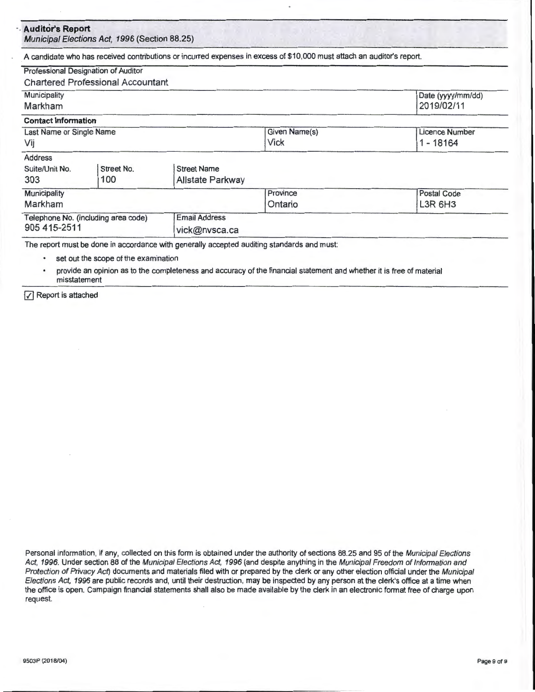|                                                     | Municipal Elections Act, 1996 (Section 88.25) |                      |                                                                                                                        |                   |
|-----------------------------------------------------|-----------------------------------------------|----------------------|------------------------------------------------------------------------------------------------------------------------|-------------------|
|                                                     |                                               |                      | A candidate who has received contributions or incurred expenses in excess of \$10,000 must attach an auditor's report. |                   |
| Professional Designation of Auditor                 |                                               |                      |                                                                                                                        |                   |
|                                                     | <b>Chartered Professional Accountant</b>      |                      |                                                                                                                        |                   |
| Municipality                                        |                                               |                      |                                                                                                                        | Date (yyyy/mm/dd) |
| Markham                                             |                                               |                      |                                                                                                                        | 2019/02/11        |
| <b>Contact Information</b>                          |                                               |                      |                                                                                                                        |                   |
| Last Name or Single Name                            |                                               |                      | Given Name(s)                                                                                                          | Licence Number    |
| Vij                                                 |                                               |                      | Vick                                                                                                                   | 1 - 18164         |
| <b>Address</b>                                      |                                               |                      |                                                                                                                        |                   |
| Suite/Unit No.                                      | Street No.                                    | <b>Street Name</b>   |                                                                                                                        |                   |
| 303                                                 | 100                                           | Allstate Parkway     |                                                                                                                        |                   |
| Municipality<br>Markham                             |                                               |                      | Province                                                                                                               | Postal Code       |
|                                                     |                                               |                      | Ontario                                                                                                                | L3R 6H3           |
| Telephone No. (including area code)<br>905 415-2511 |                                               | <b>Email Address</b> |                                                                                                                        |                   |
|                                                     |                                               | vick@nvsca.ca        |                                                                                                                        |                   |

- set out the scope of the examination
- provide an opinion as to the completeness and accuracy of the financial statement and whether it is free of material misstatement
- $\sqrt{\phantom{a}}$  Report is attached

Personal information, if any, collected on this form is obtained under the authority of sections 88.25 and 95 of the Municipal Elections Act, 1996. Under section 88 of the Municipal Elections Act, 1996 (and despite anything in the Municipal Freedom of Information and Protection of Privacy Act) documents and materials filed with or prepared by the clerk or any other election official under the Municipal Elections Act, 1996 are public records and, until their destruction, may be inspected by any person at the clerk's office at a time when the office is open. Campaign financial statements shall also be made available by the clerk in an electronic format free of charge upon request.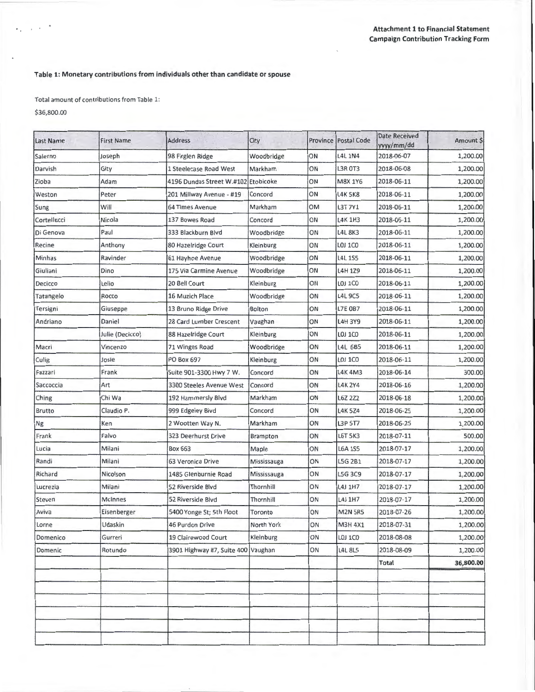## **Table 1: Monetary contributions from individuals other than candidate or spouse**

Total amount of contributions from Table 1:

\$36,800.00

 $\epsilon_{\rm s}$  ,  $\epsilon_{\rm s}$  ,  $\epsilon_{\rm s}$ 

| Last Name   | <b>First Name</b> | <b>Address</b>                      | City          |    | Province   Postal Code | Date Received<br>yyyy/mm/dd | Amount \$ |
|-------------|-------------------|-------------------------------------|---------------|----|------------------------|-----------------------------|-----------|
| Salerno     | Joseph            | 98 Firglen Ridge                    | Woodbridge    | ON | <b>L4L 1N4</b>         | 2018-06-07                  | 1,200.00  |
| Darvish     | Gity              | 1 Steelecase Road West              | Markham       | ON | <b>L3R 0T3</b>         | 2018-06-08                  | 1,200.00  |
| Zioba       | Adam              | 4196 Dundas Street W.#102 Etobicoke |               | ON | M8X 1Y6                | 2018-06-11                  | 1,200.00  |
| Weston      | Peter             | 201 Millway Avenue - #19            | Concord       | ON | <b>L4K 5K8</b>         | 2018-06-11                  | 1,200.00  |
| Sung        | Will              | <b>64 Times Avenue</b>              | Markham       | OM | L3T 7Y1                | 2018-06-11                  | 1,200.00  |
| Cortellucci | Nicola            | 137 Bowes Road                      | Concord       | ON | L4K 1H3                | 2018-06-11                  | 1,200.00  |
| Di Genova   | Paul              | 333 Blackburn Blvd                  | Woodbridge    | ON | <b>L4L 8K3</b>         | 2018-06-11                  | 1,200.00  |
| Recine      | Anthony           | 80 Hazelridge Court                 | Kleinburg     | ON | <b>LOJ 1CO</b>         | 2018-06-11                  | 1,200.00  |
| Minhas      | Ravinder          | 61 Hayhoe Avenue                    | Woodbridge    | ON | <b>L4L1S5</b>          | 2018-06-11                  | 1,200.00  |
| Giuliani    | Dino              | 175 Via Carmine Avenue              | Woodbridge    | ON | L4H 1Z9                | 2018-06-11                  | 1,200.00  |
| Decicco     | Lelio             | 20 Bell Court                       | Kleinburg     | ON | LOJ 1CO                | 2018-06-11                  | 1,200.00  |
| Tatangelo   | Rocco             | 16 Muzich Place                     | Woodbridge    | ON | <b>L4L 9C5</b>         | 2018-06-11                  | 1,200.00  |
| Tersigni    | Giuseppe          | 13 Bruno Ridge Drive                | <b>Bolton</b> | ON | <b>L7E 0B7</b>         | 2018-06-11                  | 1,200.00  |
| Andriano    | Daniel            | 28 Card Lumber Crescent             | Vaughan       | ON | <b>L4H 3Y9</b>         | 2018-06-11                  | 1,200.00  |
|             | Julie (Decicco)   | 88 Hazelridge Court                 | Kleinburg     | ON | <b>LOJ 1CO</b>         | 2018-06-11                  | 1,200.00  |
| Macri       | Vincenzo          | 71 Winges Road                      | Woodbridge    | ON | L4L 6B5                | 2018-06-11                  | 1,200.00  |
| Culig       | Josie             | <b>PO Box 697</b>                   | Kleinburg     | ON | LOJ 1CO                | 2018-06-11                  | 1,200.00  |
| Fazzari     | Frank             | Suite 901-3300 Hwy 7 W.             | Concord       | ON | L4K 4M3                | 2018-06-14                  | 300.00    |
| Saccoccia   | Art               | 3300 Steeles Avenue West            | Concord       | ON | <b>L4K 2Y4</b>         | 2018-06-16                  | 1,200.00  |
| Ching       | Chi Wa            | 192 Hammersly Blvd                  | Markham       | ON | L6Z 2Z2                | 2018-06-18                  | 1,200.00  |
| Brutto      | Claudio P.        | 999 Edgeley Bivd                    | Concord       | ON | L4K 5Z4                | 2018-06-25                  | 1,200.00  |
| Ng          | Ken               | 2 Wootten Way N.                    | Markham       | ON | L3P 5T7                | 2018-06-25                  | 1,200.00  |
| Frank       | Falvo             | 323 Deerhurst Drive                 | Brampton      | ON | <b>L6T 5K3</b>         | 2018-07-11                  | 500.00    |
| Lucia       | Milani            | <b>Box 663</b>                      | Maple         | ON | <b>L6A 1S5</b>         | 2018-07-17                  | 1,200.00  |
| Randi       | Milani            | 63 Veronica Drive                   | Mississauga   | ON | L5G 2B1                | 2018-07-17                  | 1,200.00  |
| Richard     | Nicolson          | 1485 Glenburnie Road                | Mississauga   | ON | L5G 3C9                | 2018-07-17                  | 1,200.00  |
| Lucrezia    | Milani            | 52 Riverside Blvd                   | Thornhill     | ON | L4J 1H7                | 2018-07-17                  | 1,200.00  |
| Steven      | <b>McInnes</b>    | 52 Riverside Blvd                   | Thornhill     | ON | L4J 1H7                | 2018-07-17                  | 1,200.00  |
| Aviva       | Eisenberger       | 5400 Yonge St; 5th Floot            | Toronto       | ON | <b>M2N 5R5</b>         | 2018-07-26                  | 1,200.00  |
| Lorne       | Udaskin           | 46 Purdon Drive                     | North York    | ON | M3H 4X1                | 2018-07-31                  | 1,200.00  |
| Domenico    | Gurreri           | 19 Clairewood Court                 | Kleinburg     | ON | LOJ 1CO                | 2018-08-08                  | 1,200.00  |
| Domenic     | Rotundo           | 3901 Highway #7, Suite 400 Vaughan  |               | ON | <b>L4L 8L5</b>         | 2018-08-09                  | 1,200.00  |
|             |                   |                                     |               |    |                        | <b>Total</b>                | 36,800.00 |
|             |                   |                                     |               |    |                        |                             |           |
|             |                   |                                     |               |    |                        |                             |           |
|             |                   |                                     |               |    |                        |                             |           |
|             |                   |                                     |               |    |                        |                             |           |